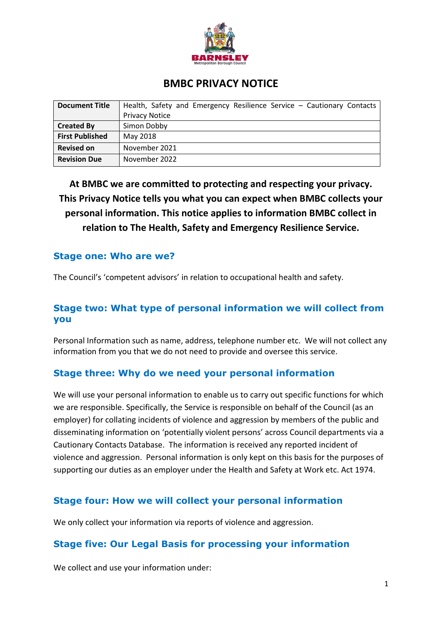

# **BMBC PRIVACY NOTICE**

| <b>Document Title</b>  | Health, Safety and Emergency Resilience Service - Cautionary Contacts |
|------------------------|-----------------------------------------------------------------------|
|                        | <b>Privacy Notice</b>                                                 |
| <b>Created By</b>      | Simon Dobby                                                           |
| <b>First Published</b> | May 2018                                                              |
| <b>Revised on</b>      | November 2021                                                         |
| <b>Revision Due</b>    | November 2022                                                         |

**At BMBC we are committed to protecting and respecting your privacy. This Privacy Notice tells you what you can expect when BMBC collects your personal information. This notice applies to information BMBC collect in relation to The Health, Safety and Emergency Resilience Service.** 

### **Stage one: Who are we?**

The Council's 'competent advisors' in relation to occupational health and safety.

### **Stage two: What type of personal information we will collect from you**

Personal Information such as name, address, telephone number etc. We will not collect any information from you that we do not need to provide and oversee this service.

# **Stage three: Why do we need your personal information**

We will use your personal information to enable us to carry out specific functions for which we are responsible. Specifically, the Service is responsible on behalf of the Council (as an employer) for collating incidents of violence and aggression by members of the public and disseminating information on 'potentially violent persons' across Council departments via a Cautionary Contacts Database. The information is received any reported incident of violence and aggression. Personal information is only kept on this basis for the purposes of supporting our duties as an employer under the Health and Safety at Work etc. Act 1974.

# **Stage four: How we will collect your personal information**

We only collect your information via reports of violence and aggression.

### **Stage five: Our Legal Basis for processing your information**

We collect and use your information under: